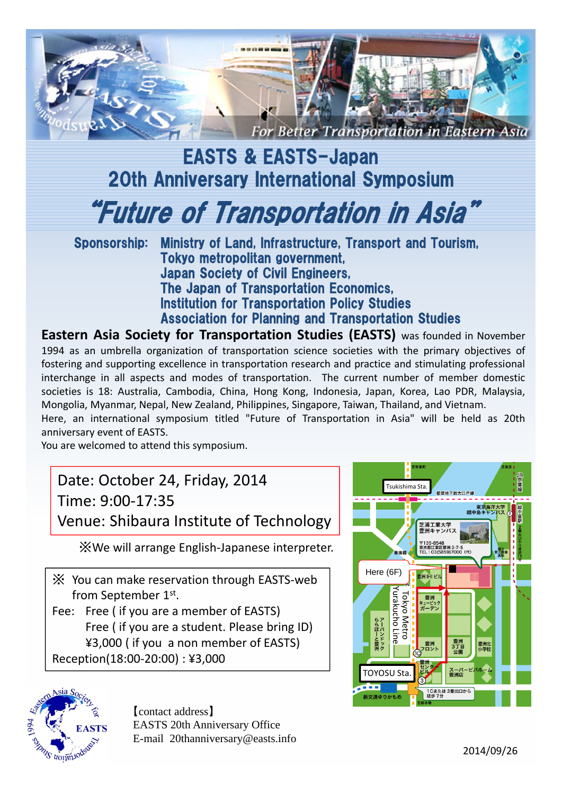

## EASTS & EASTS-Japan 20th Anniversary International Symposium

"Future of Transportation in Asia"

Sponsorship: Ministry of Land, Infrastructure, Transport and Tourism, Tokyo metropolitan government, Japan Society of Civil Engineers, The Japan of Transportation Economics, Institution for Transportation Policy Studies Association for Planning and Transportation Studies

**Eastern Asia Society for Transportation Studies (EASTS)** was founded in November 1994 as an umbrella organization of transportation science societies with the primary objectives of fostering and supporting excellence in transportation research and practice and stimulating professional interchange in all aspects and modes of transportation. The current number of member domestic societies is 18: Australia, Cambodia, China, Hong Kong, Indonesia, Japan, Korea, Lao PDR, Malaysia, Mongolia, Myanmar, Nepal, New Zealand, Philippines, Singapore, Taiwan, Thailand, and Vietnam.

Here, an international symposium titled "Future of Transportation in Asia" will be held as 20th anniversary event of EASTS.

You are welcomed to attend this symposium.

## Date: October 24, Friday, 2014 Time: 9:00‐17:35 Venue: Shibaura Institute of Technology

※We will arrange English‐Japanese interpreter.

※ You can make reservation through EASTS‐web from September 1st.

Fee: Free ( if you are a member of EASTS) Free ( if you are a student. Please bring ID) ¥3,000 ( if you a non member of EASTS) Reception(18:00‐20:00) : ¥3,000



【contact address】 EASTS 20th Anniversary Office E-mail 20thanniversary@easts.info